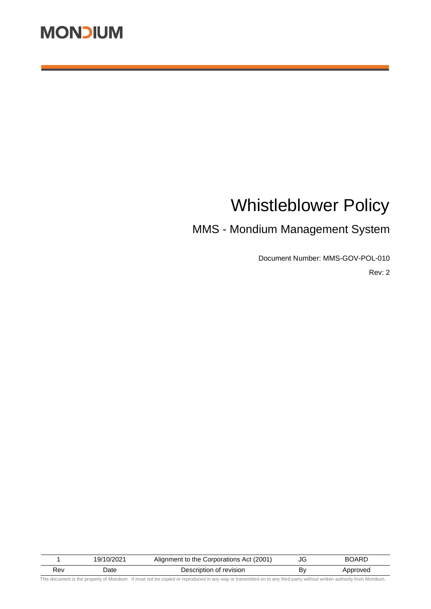# Whistleblower Policy

# MMS - Mondium Management System

Document Number: MMS-GOV-POL-010

Rev: 2

| Jate<br>Rev | Description of revision | B٧ | Approved |
|-------------|-------------------------|----|----------|

This document is the property of Mondium. It must not be copied or reproduced in any way or transmitted on to any third party without written authority from Mondium.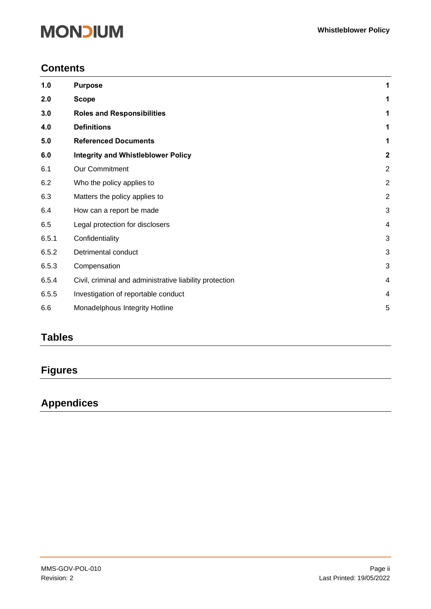## **Contents**

| 1.0   | <b>Purpose</b>                                          | 1              |
|-------|---------------------------------------------------------|----------------|
| 2.0   | <b>Scope</b>                                            | 1              |
| 3.0   | <b>Roles and Responsibilities</b>                       | 1              |
| 4.0   | <b>Definitions</b>                                      | 1              |
| 5.0   | <b>Referenced Documents</b>                             | 1              |
| 6.0   | <b>Integrity and Whistleblower Policy</b>               | $\overline{2}$ |
| 6.1   | <b>Our Commitment</b>                                   | $\overline{2}$ |
| 6.2   | Who the policy applies to                               | $\overline{2}$ |
| 6.3   | Matters the policy applies to                           | $\overline{2}$ |
| 6.4   | How can a report be made                                | 3              |
| 6.5   | Legal protection for disclosers                         | 4              |
| 6.5.1 | Confidentiality                                         | 3              |
| 6.5.2 | Detrimental conduct                                     | 3              |
| 6.5.3 | Compensation                                            | 3              |
| 6.5.4 | Civil, criminal and administrative liability protection | 4              |
| 6.5.5 | Investigation of reportable conduct                     | 4              |
| 6.6   | Monadelphous Integrity Hotline                          | 5              |

## **Tables**

# **Figures**

## **Appendices**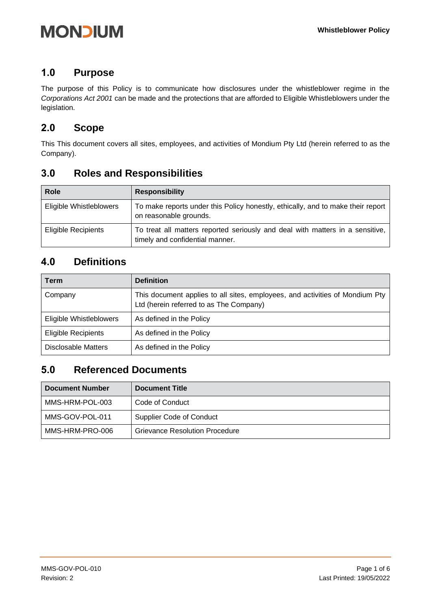## <span id="page-2-0"></span>**1.0 Purpose**

<span id="page-2-1"></span>The purpose of this Policy is to communicate how disclosures under the whistleblower regime in the *Corporations Act 2001* can be made and the protections that are afforded to Eligible Whistleblowers under the legislation.

## **2.0 Scope**

<span id="page-2-2"></span>This This document covers all sites, employees, and activities of Mondium Pty Ltd (herein referred to as the Company).

## **3.0 Roles and Responsibilities**

| <b>Role</b>                | <b>Responsibility</b>                                                                                            |
|----------------------------|------------------------------------------------------------------------------------------------------------------|
| Eligible Whistleblowers    | To make reports under this Policy honestly, ethically, and to make their report<br>on reasonable grounds.        |
| <b>Eligible Recipients</b> | To treat all matters reported seriously and deal with matters in a sensitive,<br>timely and confidential manner. |

## <span id="page-2-3"></span>**4.0 Definitions**

| Term                       | <b>Definition</b>                                                                                                       |
|----------------------------|-------------------------------------------------------------------------------------------------------------------------|
| Company                    | This document applies to all sites, employees, and activities of Mondium Pty<br>Ltd (herein referred to as The Company) |
| Eligible Whistleblowers    | As defined in the Policy                                                                                                |
| <b>Eligible Recipients</b> | As defined in the Policy                                                                                                |
| <b>Disclosable Matters</b> | As defined in the Policy                                                                                                |

## <span id="page-2-4"></span>**5.0 Referenced Documents**

| <b>Document Number</b> | <b>Document Title</b>           |
|------------------------|---------------------------------|
| MMS-HRM-POL-003        | Code of Conduct                 |
| MMS-GOV-POL-011        | <b>Supplier Code of Conduct</b> |
| MMS-HRM-PRO-006        | Grievance Resolution Procedure  |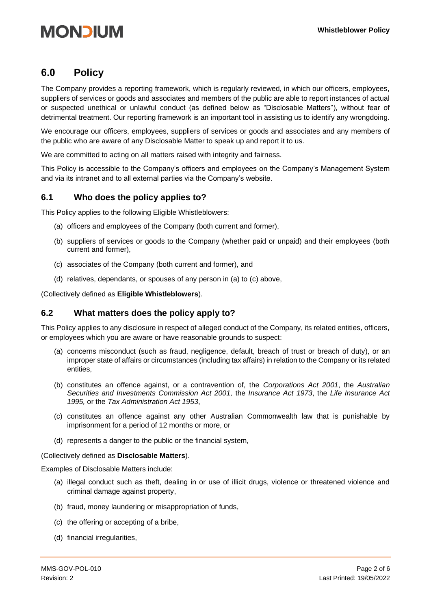## <span id="page-3-0"></span>**6.0 Policy**

The Company provides a reporting framework, which is regularly reviewed, in which our officers, employees, suppliers of services or goods and associates and members of the public are able to report instances of actual or suspected unethical or unlawful conduct (as defined below as "Disclosable Matters"), without fear of detrimental treatment. Our reporting framework is an important tool in assisting us to identify any wrongdoing.

We encourage our officers, employees, suppliers of services or goods and associates and any members of the public who are aware of any Disclosable Matter to speak up and report it to us.

We are committed to acting on all matters raised with integrity and fairness.

This Policy is accessible to the Company's officers and employees on the Company's Management System and via its intranet and to all external parties via the Company's website.

### <span id="page-3-1"></span>**6.1 Who does the policy applies to?**

This Policy applies to the following Eligible Whistleblowers:

- (a) officers and employees of the Company (both current and former),
- (b) suppliers of services or goods to the Company (whether paid or unpaid) and their employees (both current and former),
- (c) associates of the Company (both current and former), and
- (d) relatives, dependants, or spouses of any person in (a) to (c) above,

(Collectively defined as **Eligible Whistleblowers**).

### <span id="page-3-2"></span>**6.2 What matters does the policy apply to?**

This Policy applies to any disclosure in respect of alleged conduct of the Company, its related entities, officers, or employees which you are aware or have reasonable grounds to suspect:

- (a) concerns misconduct (such as fraud, negligence, default, breach of trust or breach of duty), or an improper state of affairs or circumstances (including tax affairs) in relation to the Company or its related entities,
- (b) constitutes an offence against, or a contravention of, the *Corporations Act 2001*, the *Australian Securities and Investments Commission Act 2001,* the *Insurance Act 1973*, the *Life Insurance Act 1995,* or the *Tax Administration Act 1953*,
- (c) constitutes an offence against any other Australian Commonwealth law that is punishable by imprisonment for a period of 12 months or more, or
- (d) represents a danger to the public or the financial system,

#### (Collectively defined as **Disclosable Matters**).

Examples of Disclosable Matters include:

- (a) illegal conduct such as theft, dealing in or use of illicit drugs, violence or threatened violence and criminal damage against property,
- (b) fraud, money laundering or misappropriation of funds,
- (c) the offering or accepting of a bribe,
- (d) financial irregularities,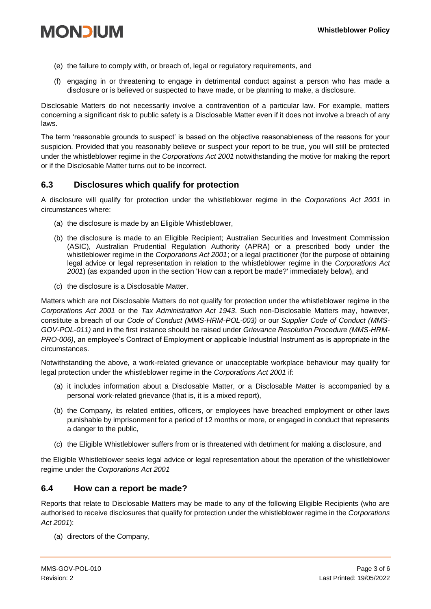- (e) the failure to comply with, or breach of, legal or regulatory requirements, and
- (f) engaging in or threatening to engage in detrimental conduct against a person who has made a disclosure or is believed or suspected to have made, or be planning to make, a disclosure.

Disclosable Matters do not necessarily involve a contravention of a particular law. For example, matters concerning a significant risk to public safety is a Disclosable Matter even if it does not involve a breach of any laws.

The term 'reasonable grounds to suspect' is based on the objective reasonableness of the reasons for your suspicion. Provided that you reasonably believe or suspect your report to be true, you will still be protected under the whistleblower regime in the *Corporations Act 2001* notwithstanding the motive for making the report or if the Disclosable Matter turns out to be incorrect.

### <span id="page-4-0"></span>**6.3 Disclosures which qualify for protection**

A disclosure will qualify for protection under the whistleblower regime in the *Corporations Act 2001* in circumstances where:

- (a) the disclosure is made by an Eligible Whistleblower,
- (b) the disclosure is made to an Eligible Recipient; Australian Securities and Investment Commission (ASIC), Australian Prudential Regulation Authority (APRA) or a prescribed body under the whistleblower regime in the *Corporations Act 2001*; or a legal practitioner (for the purpose of obtaining legal advice or legal representation in relation to the whistleblower regime in the *Corporations Act 2001*) (as expanded upon in the section 'How can a report be made?' immediately below), and
- (c) the disclosure is a Disclosable Matter.

Matters which are not Disclosable Matters do not qualify for protection under the whistleblower regime in the *Corporations Act 2001* or the *Tax Administration Act 1943*. Such non-Disclosable Matters may, however, constitute a breach of our *Code of Conduct (MMS-HRM-POL-003)* or our *Supplier Code of Conduct (MMS-GOV-POL-011)* and in the first instance should be raised under *Grievance Resolution Procedure (MMS-HRM-PRO-006)*, an employee's Contract of Employment or applicable Industrial Instrument as is appropriate in the circumstances.

Notwithstanding the above, a work-related grievance or unacceptable workplace behaviour may qualify for legal protection under the whistleblower regime in the *Corporations Act 2001* if:

- (a) it includes information about a Disclosable Matter, or a Disclosable Matter is accompanied by a personal work-related grievance (that is, it is a mixed report),
- (b) the Company, its related entities, officers, or employees have breached employment or other laws punishable by imprisonment for a period of 12 months or more, or engaged in conduct that represents a danger to the public,
- (c) the Eligible Whistleblower suffers from or is threatened with detriment for making a disclosure, and

the Eligible Whistleblower seeks legal advice or legal representation about the operation of the whistleblower regime under the *Corporations Act 2001*

### **6.4 How can a report be made?**

Reports that relate to Disclosable Matters may be made to any of the following Eligible Recipients (who are authorised to receive disclosures that qualify for protection under the whistleblower regime in the *Corporations Act 2001*):

(a) directors of the Company,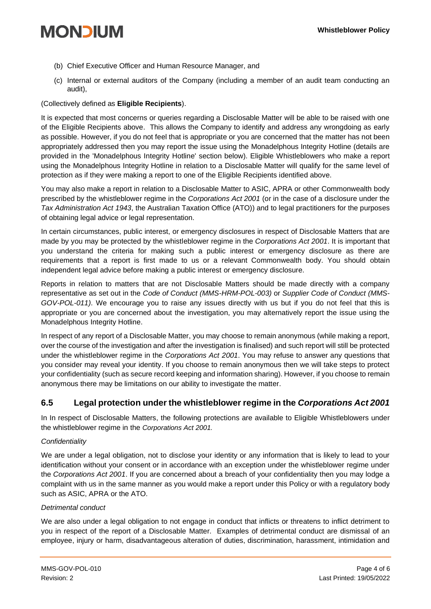- (b) Chief Executive Officer and Human Resource Manager, and
- (c) Internal or external auditors of the Company (including a member of an audit team conducting an audit),

### (Collectively defined as **Eligible Recipients**).

It is expected that most concerns or queries regarding a Disclosable Matter will be able to be raised with one of the Eligible Recipients above. This allows the Company to identify and address any wrongdoing as early as possible. However, if you do not feel that is appropriate or you are concerned that the matter has not been appropriately addressed then you may report the issue using the Monadelphous Integrity Hotline (details are provided in the 'Monadelphous Integrity Hotline' section below). Eligible Whistleblowers who make a report using the Monadelphous Integrity Hotline in relation to a Disclosable Matter will qualify for the same level of protection as if they were making a report to one of the Eligible Recipients identified above.

You may also make a report in relation to a Disclosable Matter to ASIC, APRA or other Commonwealth body prescribed by the whistleblower regime in the *Corporations Act 2001* (or in the case of a disclosure under the *Tax Administration Act 1943*, the Australian Taxation Office (ATO)) and to legal practitioners for the purposes of obtaining legal advice or legal representation.

In certain circumstances, public interest, or emergency disclosures in respect of Disclosable Matters that are made by you may be protected by the whistleblower regime in the *Corporations Act 2001*. It is important that you understand the criteria for making such a public interest or emergency disclosure as there are requirements that a report is first made to us or a relevant Commonwealth body. You should obtain independent legal advice before making a public interest or emergency disclosure.

Reports in relation to matters that are not Disclosable Matters should be made directly with a company representative as set out in the *Code of Conduct (MMS-HRM-POL-003)* or *Supplier Code of Conduct (MMS-GOV-POL-011)*. We encourage you to raise any issues directly with us but if you do not feel that this is appropriate or you are concerned about the investigation, you may alternatively report the issue using the Monadelphous Integrity Hotline.

In respect of any report of a Disclosable Matter, you may choose to remain anonymous (while making a report, over the course of the investigation and after the investigation is finalised) and such report will still be protected under the whistleblower regime in the *Corporations Act 2001*. You may refuse to answer any questions that you consider may reveal your identity. If you choose to remain anonymous then we will take steps to protect your confidentiality (such as secure record keeping and information sharing). However, if you choose to remain anonymous there may be limitations on our ability to investigate the matter.

## <span id="page-5-0"></span>**6.5 Legal protection under the whistleblower regime in the** *Corporations Act 2001*

In In respect of Disclosable Matters, the following protections are available to Eligible Whistleblowers under the whistleblower regime in the *Corporations Act 2001.*

### *Confidentiality*

We are under a legal obligation, not to disclose your identity or any information that is likely to lead to your identification without your consent or in accordance with an exception under the whistleblower regime under the *Corporations Act 2001*. If you are concerned about a breach of your confidentiality then you may lodge a complaint with us in the same manner as you would make a report under this Policy or with a regulatory body such as ASIC, APRA or the ATO.

### *Detrimental conduct*

We are also under a legal obligation to not engage in conduct that inflicts or threatens to inflict detriment to you in respect of the report of a Disclosable Matter. Examples of detrimental conduct are dismissal of an employee, injury or harm, disadvantageous alteration of duties, discrimination, harassment, intimidation and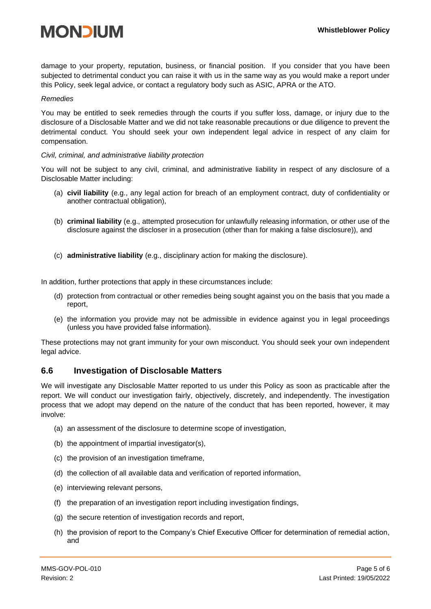

damage to your property, reputation, business, or financial position. If you consider that you have been subjected to detrimental conduct you can raise it with us in the same way as you would make a report under this Policy, seek legal advice, or contact a regulatory body such as ASIC, APRA or the ATO.

#### *Remedies*

You may be entitled to seek remedies through the courts if you suffer loss, damage, or injury due to the disclosure of a Disclosable Matter and we did not take reasonable precautions or due diligence to prevent the detrimental conduct. You should seek your own independent legal advice in respect of any claim for compensation.

#### *Civil, criminal, and administrative liability protection*

You will not be subject to any civil, criminal, and administrative liability in respect of any disclosure of a Disclosable Matter including:

- (a) **civil liability** (e.g., any legal action for breach of an employment contract, duty of confidentiality or another contractual obligation),
- (b) **criminal liability** (e.g., attempted prosecution for unlawfully releasing information, or other use of the disclosure against the discloser in a prosecution (other than for making a false disclosure)), and
- (c) **administrative liability** (e.g., disciplinary action for making the disclosure).

In addition, further protections that apply in these circumstances include:

- (d) protection from contractual or other remedies being sought against you on the basis that you made a report,
- (e) the information you provide may not be admissible in evidence against you in legal proceedings (unless you have provided false information).

These protections may not grant immunity for your own misconduct. You should seek your own independent legal advice.

#### <span id="page-6-0"></span>**6.6 Investigation of Disclosable Matters**

We will investigate any Disclosable Matter reported to us under this Policy as soon as practicable after the report. We will conduct our investigation fairly, objectively, discretely, and independently. The investigation process that we adopt may depend on the nature of the conduct that has been reported, however, it may involve:

- (a) an assessment of the disclosure to determine scope of investigation,
- (b) the appointment of impartial investigator(s),
- (c) the provision of an investigation timeframe,
- (d) the collection of all available data and verification of reported information,
- (e) interviewing relevant persons,
- (f) the preparation of an investigation report including investigation findings,
- (g) the secure retention of investigation records and report,
- (h) the provision of report to the Company's Chief Executive Officer for determination of remedial action, and